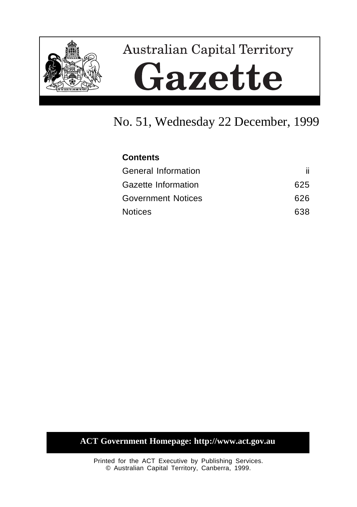

# **Australian Capital Territory** Gazette

# No. 51, Wednesday 22 December, 1999

| <b>Contents</b>            |      |
|----------------------------|------|
| <b>General Information</b> | ii.  |
| Gazette Information        | 625  |
| <b>Government Notices</b>  | 626. |
| <b>Notices</b>             | 638  |

# **ACT Government Homepage: http://www.act.gov.au**

Printed for the ACT Executive by Publishing Services. © Australian Capital Territory, Canberra, 1999.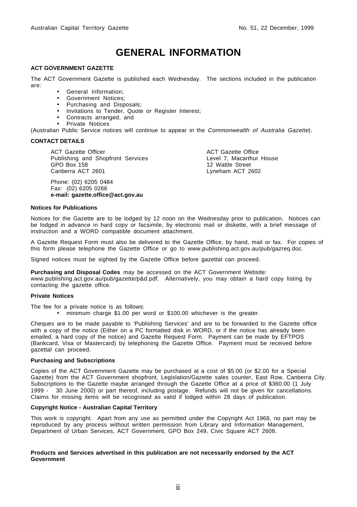# **GENERAL INFORMATION**

#### **ACT GOVERNMENT GAZETTE**

The ACT Government Gazette is published each Wednesday. The sections included in the publication are:

- General Information;
- Government Notices;
- Purchasing and Disposals;
- Invitations to Tender, Quote or Register Interest;
- Contracts arranged, and
- Private Notices

(Australian Public Service notices will continue to appear in the Commonwealth of Australia Gazette).

#### **CONTACT DETAILS**

ACT Gazette Officer Publishing and Shopfront Services GPO Box 158 Canberra ACT 2601

Phone: (02) 6205 0484 Fax: (02) 6205 0266 **e-mail: gazette.office@act.gov.au**

ACT Gazette Office Level 7, Macarthur House 12 Wattle Street Lyneham ACT 2602

#### **Notices for Publications**

Notices for the Gazette are to be lodged by 12 noon on the Wednesday prior to publication. Notices can be lodged in advance in hard copy or facsimile, by electronic mail or diskette, with a brief message of instruction and a WORD compatible document attachment.

A Gazette Request Form must also be delivered to the Gazette Office, by hand, mail or fax. For copies of this form please telephone the Gazette Office or go to www.publishing.act.gov.au/pub/gazreq.doc.

Signed notices must be sighted by the Gazette Office before gazettal can proceed.

**Purchasing and Disposal Codes** may be accessed on the ACT Government Website:

www.publishing.act.gov.au/pub/gazette/p&d.pdf. Alternatively, you may obtain a hard copy listing by contacting the gazette office.

#### **Private Notices**

The fee for a private notice is as follows:

• minimum charge \$1.00 per word or \$100.00 whichever is the greater.

Cheques are to be made payable to 'Publishing Services' and are to be forwarded to the Gazette office with a copy of the notice (Either on a PC formatted disk in WORD, or if the notice has already been emailed, a hard copy of the notice) and Gazette Request Form. Payment can be made by EFTPOS (Bankcard, Visa or Mastercard) by telephoning the Gazette Office. Payment must be received before gazettal can proceed.

#### **Purchasing and Subscriptions**

Copies of the ACT Government Gazette may be purchased at a cost of \$5.00 (or \$2.00 for a Special Gazette) from the ACT Government shopfront, Legislation/Gazette sales counter, East Row, Canberra City. Subscriptions to the Gazette maybe arranged through the Gazette Office at a price of \$360.00 (1 July 1999 - 30 June 2000) or part thereof, including postage. Refunds will not be given for cancellations. Claims for missing items will be recognised as valid if lodged within 28 days of publication.

#### **Copyright Notice - Australian Capital Territory**

This work is copyright. Apart from any use as permitted under the Copyright Act 1968, no part may be reproduced by any process without written permission from Library and Information Management, Department of Urban Services, ACT Government, GPO Box 249, Civic Square ACT 2608.

#### **Products and Services advertised in this publication are not necessarily endorsed by the ACT Government**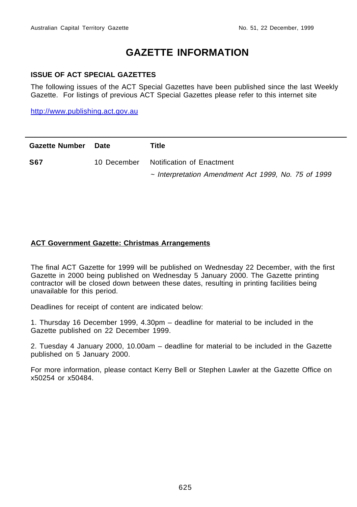# **GAZETTE INFORMATION**

## **ISSUE OF ACT SPECIAL GAZETTES**

The following issues of the ACT Special Gazettes have been published since the last Weekly Gazette. For listings of previous ACT Special Gazettes please refer to this internet site

http://www.publishing.act.gov.au

| <b>Gazette Number</b> | Date        | Title                                                    |
|-----------------------|-------------|----------------------------------------------------------|
| <b>S67</b>            | 10 December | Notification of Enactment                                |
|                       |             | $\sim$ Interpretation Amendment Act 1999, No. 75 of 1999 |

## **ACT Government Gazette: Christmas Arrangements**

The final ACT Gazette for 1999 will be published on Wednesday 22 December, with the first Gazette in 2000 being published on Wednesday 5 January 2000. The Gazette printing contractor will be closed down between these dates, resulting in printing facilities being unavailable for this period.

Deadlines for receipt of content are indicated below:

1. Thursday 16 December 1999, 4.30pm – deadline for material to be included in the Gazette published on 22 December 1999.

2. Tuesday 4 January 2000, 10.00am – deadline for material to be included in the Gazette published on 5 January 2000.

For more information, please contact Kerry Bell or Stephen Lawler at the Gazette Office on x50254 or x50484.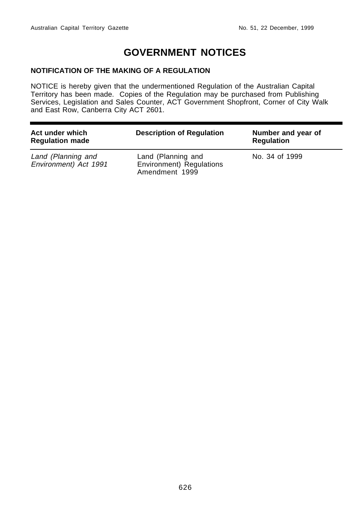# **GOVERNMENT NOTICES**

## **NOTIFICATION OF THE MAKING OF A REGULATION**

NOTICE is hereby given that the undermentioned Regulation of the Australian Capital Territory has been made. Copies of the Regulation may be purchased from Publishing Services, Legislation and Sales Counter, ACT Government Shopfront, Corner of City Walk and East Row, Canberra City ACT 2601.

| Act under which<br><b>Regulation made</b>   | <b>Description of Regulation</b>                                 | Number and year of<br><b>Regulation</b> |
|---------------------------------------------|------------------------------------------------------------------|-----------------------------------------|
| Land (Planning and<br>Environment) Act 1991 | Land (Planning and<br>Environment) Regulations<br>Amendment 1999 | No. 34 of 1999                          |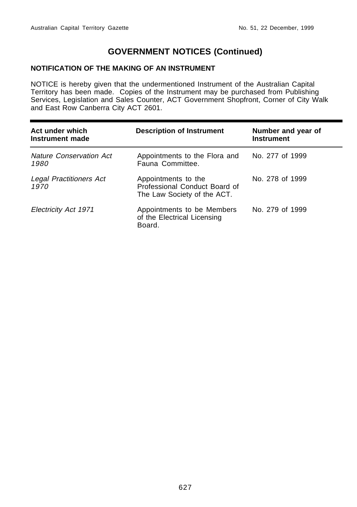## **NOTIFICATION OF THE MAKING OF AN INSTRUMENT**

NOTICE is hereby given that the undermentioned Instrument of the Australian Capital Territory has been made. Copies of the Instrument may be purchased from Publishing Services, Legislation and Sales Counter, ACT Government Shopfront, Corner of City Walk and East Row Canberra City ACT 2601.

| Act under which<br>Instrument made     | <b>Description of Instrument</b>                                                    | Number and year of<br><b>Instrument</b> |
|----------------------------------------|-------------------------------------------------------------------------------------|-----------------------------------------|
| <b>Nature Conservation Act</b><br>1980 | Appointments to the Flora and<br>Fauna Committee.                                   | No. 277 of 1999                         |
| Legal Practitioners Act<br>1970        | Appointments to the<br>Professional Conduct Board of<br>The Law Society of the ACT. | No. 278 of 1999                         |
| Electricity Act 1971                   | Appointments to be Members<br>of the Electrical Licensing<br>Board.                 | No. 279 of 1999                         |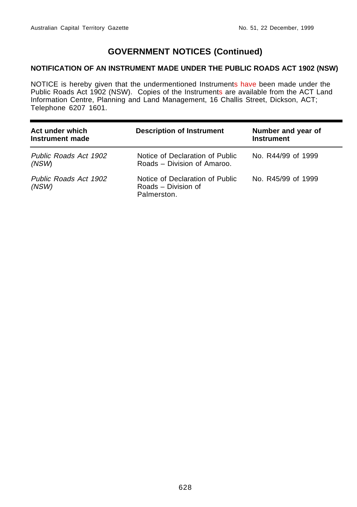## **NOTIFICATION OF AN INSTRUMENT MADE UNDER THE PUBLIC ROADS ACT 1902 (NSW)**

NOTICE is hereby given that the undermentioned Instruments have been made under the Public Roads Act 1902 (NSW). Copies of the Instruments are available from the ACT Land Information Centre, Planning and Land Management, 16 Challis Street, Dickson, ACT; Telephone 6207 1601.

| Act under which<br>Instrument made | <b>Description of Instrument</b>                                      | Number and year of<br><b>Instrument</b> |
|------------------------------------|-----------------------------------------------------------------------|-----------------------------------------|
| Public Roads Act 1902<br>(NSW)     | Notice of Declaration of Public<br>Roads – Division of Amaroo.        | No. R44/99 of 1999                      |
| Public Roads Act 1902<br>(NSW)     | Notice of Declaration of Public<br>Roads - Division of<br>Palmerston. | No. R45/99 of 1999                      |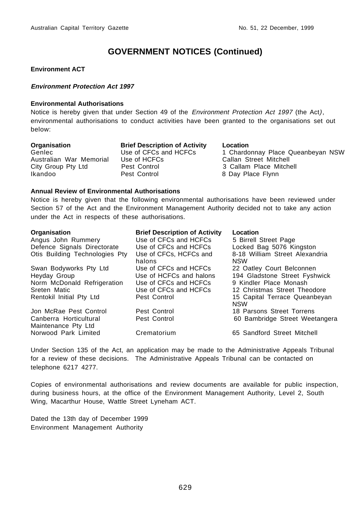#### **Environment ACT**

#### **Environment Protection Act 1997**

#### **Environmental Authorisations**

Notice is hereby given that under Section 49 of the Environment Protection Act 1997 (the Act), environmental authorisations to conduct activities have been granted to the organisations set out below:

| Organisation            |
|-------------------------|
| Genlec                  |
| Australian War Memorial |
| City Group Pty Ltd      |
| Ikandoo                 |

**Brief Description of Activity**  Location Pest Control **City Control 2 Callam Place Mitchell** Pest Control 8 Day Place Flynn

Use of CFCs and HCFCs 1 Chardonnay Place Queanbeyan NSW<br>Use of HCFCs 1 Callan Street Mitchell Callan Street Mitchell

#### **Annual Review of Environmental Authorisations**

Notice is hereby given that the following environmental authorisations have been reviewed under Section 57 of the Act and the Environment Management Authority decided not to take any action under the Act in respects of these authorisations.

| <b>Organisation</b>                           | <b>Brief Description of Activity</b> | Location                                     |
|-----------------------------------------------|--------------------------------------|----------------------------------------------|
| Angus John Rummery                            | Use of CFCs and HCFCs                | 5 Birrell Street Page                        |
| Defence Signals Directorate                   | Use of CFCs and HCFCs                | Locked Bag 5076 Kingston                     |
| Otis Building Technologies Pty                | Use of CFCs, HCFCs and<br>halons     | 8-18 William Street Alexandria<br><b>NSW</b> |
| Swan Bodyworks Pty Ltd                        | Use of CFCs and HCFCs                | 22 Oatley Court Belconnen                    |
| Heyday Group                                  | Use of HCFCs and halons              | 194 Gladstone Street Fyshwick                |
| Norm McDonald Refrigeration                   | Use of CFCs and HCFCs                | 9 Kindler Place Monash                       |
| Sreten Matic                                  | Use of CFCs and HCFCs                | 12 Christmas Street Theodore                 |
| Rentokil Initial Pty Ltd                      | Pest Control                         | 15 Capital Terrace Queanbeyan<br><b>NSW</b>  |
| Jon McRae Pest Control                        | Pest Control                         | 18 Parsons Street Torrens                    |
| Canberra Horticultural<br>Maintenance Pty Ltd | Pest Control                         | 60 Bambridge Street Weetangera               |
| Norwood Park Limited                          | Crematorium                          | 65 Sandford Street Mitchell                  |

Under Section 135 of the Act, an application may be made to the Administrative Appeals Tribunal for a review of these decisions. The Administrative Appeals Tribunal can be contacted on telephone 6217 4277.

Copies of environmental authorisations and review documents are available for public inspection, during business hours, at the office of the Environment Management Authority, Level 2, South Wing, Macarthur House, Wattle Street Lyneham ACT.

Dated the 13th day of December 1999 Environment Management Authority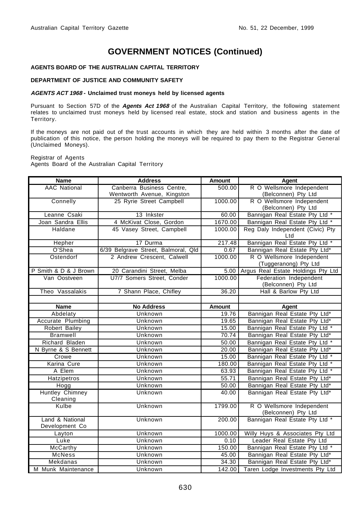#### **AGENTS BOARD OF THE AUSTRALIAN CAPITAL TERRITORY**

#### **DEPARTMENT OF JUSTICE AND COMMUNITY SAFETY**

#### **AGENTS ACT 1968 - Unclaimed trust moneys held by licensed agents**

Pursuant to Section 57D of the **Agents Act 1968** of the Australian Capital Territory, the following statement relates to unclaimed trust moneys held by licensed real estate, stock and station and business agents in the Territory.

If the moneys are not paid out of the trust accounts in which they are held within 3 months after the date of publication of this notice, the person holding the moneys will be required to pay them to the Registrar General (Unclaimed Moneys).

#### Registrar of Agents

Agents Board of the Australian Capital Territory

| <b>Name</b>                 | <b>Address</b>                      | <b>Amount</b> | <b>Agent</b>                                       |
|-----------------------------|-------------------------------------|---------------|----------------------------------------------------|
| <b>AAC National</b>         | Canberra Business Centre.           | 500.00        | R O Wellsmore Independent                          |
|                             | Wentworth Avenue, Kingston          |               | (Belconnen) Pty Ltd                                |
| Connelly                    | 25 Ryrie Street Campbell            | 1000.00       | R O Wellsmore Independent                          |
|                             |                                     |               | (Belconnen) Pty Ltd                                |
| Leanne Csaki                | 13 Inkster                          | 60.00         | Bannigan Real Estate Pty Ltd *                     |
| Joan Sandra Ellis           | 4 McKivat Close, Gordon             | 1670.00       | Bannigan Real Estate Pty Ltd *                     |
| Haldane                     | 45 Vasey Street, Campbell           | 1000.00       | Reg Daly Independent (Civic) Pty<br>Ltd            |
| Hepher                      | 17 Durma                            | 217.48        | Bannigan Real Estate Pty Ltd *                     |
| O'Shea                      | 6/39 Belgrave Street, Balmoral, Qld | 0.67          | Bannigan Real Estate Pty Ltd*                      |
| Ostendorf                   | 2 Andrew Crescent, Calwell          | 1000.00       | R O Wellsmore Independent<br>(Tuggeranong) Pty Ltd |
| P Smith & D & J Brown       | 20 Carandini Street. Melba          | 5.00          | Argus Real Estate Holdings Pty Ltd                 |
| Van Oostveen                | U7/7 Somers Street, Conder          | 1000.00       | Federation Independent<br>(Belconnen) Pty Ltd      |
| Theo Vassalakis             | 7 Shann Place, Chifley              | 36.20         | Hall & Barlow Pty Ltd                              |
|                             |                                     |               |                                                    |
| <b>Name</b>                 | <b>No Address</b>                   | <b>Amount</b> | <b>Agent</b>                                       |
| Abdelaty                    | Unknown                             | 19.76         | Bannigan Real Estate Pty Ltd*                      |
| Accurate Plumbing           | Unknown                             | 19.65         | Bannigan Real Estate Pty Ltd*                      |
| <b>Robert Bailey</b>        | Unknown                             | 15.00         | Bannigan Real Estate Pty Ltd *                     |
| <b>Bramwell</b>             | <b>Unknown</b>                      | 70.74         | Bannigan Real Estate Pty Ltd*                      |
| Richard Bladen              | Unknown                             | 50.00         | Bannigan Real Estate Pty Ltd *                     |
| N Byrne & S Bennett         | Unknown                             | 20.00         | Bannigan Real Estate Pty Ltd*                      |
| Crowe                       | Unknown                             | 15.00         | Bannigan Real Estate Pty Ltd *                     |
| Karina Cure                 | Unknown                             | 180.00        | Bannigan Real Estate Pty Ltd *                     |
| A Elem                      | Unknown                             | 63.93         | Bannigan Real Estate Pty Ltd *                     |
| Hatzipetros                 | Unknown                             | 55.71         | Bannigan Real Estate Pty Ltd*                      |
| Hogg                        | Unknown                             | 50.00         | Bannigan Real Estate Pty Ltd*                      |
| Huntley Chimney<br>Cleaning | Unknown                             | 40.00         | Bannigan Real Estate Pty Ltd*                      |
| Kulbe                       | Unknown                             | 1799.00       | R O Wellsmore Independent<br>(Belconnen) Pty Ltd   |
| Land & National             | Unknown                             | 200.00        | Bannigan Real Estate Pty Ltd *                     |
| Development Co              |                                     |               |                                                    |
| Layton                      | Unknown                             | 1000.00       | Willy Huys & Associates Pty Ltd                    |
| Luke                        | Unknown                             | 0.10          | Leader Real Estate Pty Ltd                         |
| <b>McCarthy</b>             | Unknown                             | 150.00        | Bannigan Real Estate Pty Ltd *                     |
| McNess                      | Unknown                             | 45.00         | Bannigan Real Estate Pty Ltd*                      |
| Mekdanas                    | Unknown                             | 34.30         | Bannigan Real Estate Pty Ltd*                      |
| M Munk Maintenance          | Unknown                             | 142.00        | Taren Lodge Investments Pty Ltd                    |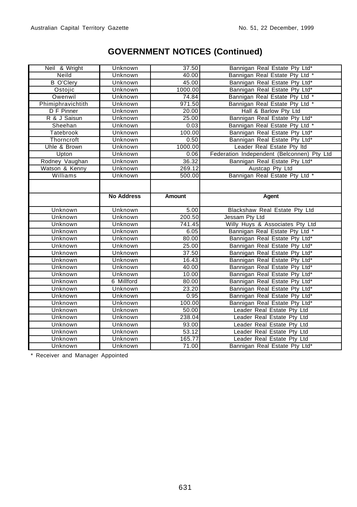| Neil & Wright      | Unknown            | 37.50           | Bannigan Real Estate Pty Ltd*                               |
|--------------------|--------------------|-----------------|-------------------------------------------------------------|
| Neild              | Unknown            | 40.00           | Bannigan Real Estate Pty Ltd *                              |
| <b>B</b> O'Clery   | Unknown            | 45.00           | Bannigan Real Estate Pty Ltd*                               |
| Ostojic            | Unknown            | 1000.00         | Bannigan Real Estate Pty Ltd*                               |
| Owenwil            | Unknown            | 74.84           | Bannigan Real Estate Pty Ltd *                              |
| Phimiphravichtith  | Unknown            | 971.50          | Bannigan Real Estate Pty Ltd *                              |
| D F Pinner         | Unknown            | 20.00           | Hall & Barlow Pty Ltd                                       |
| R & J Saisun       | Unknown            | 25.00           | Bannigan Real Estate Pty Ltd*                               |
| Sheehan            | Unknown            | 0.03            | Bannigan Real Estate Pty Ltd *                              |
| Tatebrook          | Unknown            | 100.00          | Bannigan Real Estate Pty Ltd*                               |
| Thorncroft         | Unknown            | 0.50            | Bannigan Real Estate Pty Ltd*                               |
| Uhle & Brown       | Unknown            | 1000.00         | Leader Real Estate Pty Itd                                  |
| Upton              | Unknown            | 0.06            | Federation Independent (Belconnen) Pty Ltd                  |
| Rodney Vaughan     | Unknown            | 36.32           | Bannigan Real Estate Pty Ltd*                               |
| Watson & Kenny     | Unknown            | 269.12          | Austcap Pty Ltd                                             |
| Williams           | <b>Unknown</b>     | 500.00          | Bannigan Real Estate Pty Ltd *                              |
|                    |                    |                 |                                                             |
|                    |                    |                 |                                                             |
|                    | <b>No Address</b>  | Amount          | Agent                                                       |
| Unknown            | Unknown            | 5.00            | Blackshaw Real Estate Pty Ltd                               |
|                    |                    |                 |                                                             |
| Unknown            | Unknown            | 200.50          | Jessam Pty Ltd                                              |
| Unknown            | Unknown            | 741.45          | Willy Huys & Associates Pty Ltd                             |
| Unknown            | Unknown            | 6.05            | Bannigan Real Estate Pty Ltd *                              |
| Unknown            | Unknown            | 80.00           | Bannigan Real Estate Pty Ltd*                               |
| Unknown            | Unknown            | 25.00           | Bannigan Real Estate Pty Ltd*                               |
| Unknown            | Unknown            | 37.50           | Bannigan Real Estate Pty Ltd*                               |
| Unknown            | Unknown            | 16.43           | Bannigan Real Estate Pty Ltd*                               |
| Unknown            | Unknown            | 40.00           | Bannigan Real Estate Pty Ltd*                               |
| Unknown            | Unknown            | 10.00           | Bannigan Real Estate Pty Ltd*                               |
| Unknown            | 6 Millford         | 80.00           | Bannigan Real Estate Pty Ltd*                               |
| Unknown            | Unknown            | 23.20           | Bannigan Real Estate Pty Ltd*                               |
| Unknown            | Unknown            | 0.95            | Bannigan Real Estate Pty Ltd*                               |
| Unknown            | Unknown            | 100.00          | Bannigan Real Estate Pty Ltd*                               |
| Unknown            | Unknown            | 50.00           | Leader Real Estate Pty Ltd                                  |
| Unknown            | Unknown            | 238.04          | Leader Real Estate Pty Ltd                                  |
| Unknown            | Unknown            | 93.00           | Leader Real Estate Pty Ltd                                  |
| Unknown            | Unknown            | 53.12           | Leader Real Estate Pty Ltd                                  |
| Unknown<br>Unknown | Unknown<br>Unknown | 165.77<br>71.00 | Leader Real Estate Pty Ltd<br>Bannigan Real Estate Pty Ltd* |

\* Receiver and Manager Appointed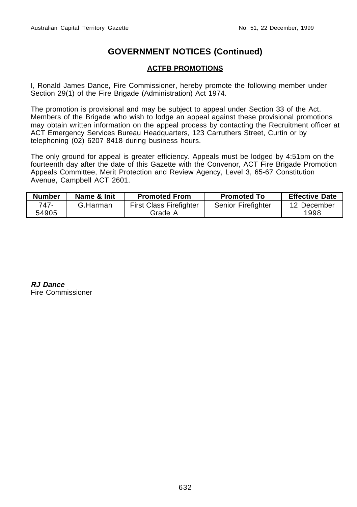# **ACTFB PROMOTIONS**

I, Ronald James Dance, Fire Commissioner, hereby promote the following member under Section 29(1) of the Fire Brigade (Administration) Act 1974.

The promotion is provisional and may be subject to appeal under Section 33 of the Act. Members of the Brigade who wish to lodge an appeal against these provisional promotions may obtain written information on the appeal process by contacting the Recruitment officer at ACT Emergency Services Bureau Headquarters, 123 Carruthers Street, Curtin or by telephoning (02) 6207 8418 during business hours.

The only ground for appeal is greater efficiency. Appeals must be lodged by 4:51pm on the fourteenth day after the date of this Gazette with the Convenor, ACT Fire Brigade Promotion Appeals Committee, Merit Protection and Review Agency, Level 3, 65-67 Constitution Avenue, Campbell ACT 2601.

| <b>Number</b> | Name & Init | <b>Promoted From</b>           | <b>Promoted To</b> | <b>Effective Date</b> |
|---------------|-------------|--------------------------------|--------------------|-----------------------|
| 747-          | G.Harman    | <b>First Class Firefighter</b> | Senior Firefighter | 12 December           |
| 54905         |             | Grade A                        |                    | 1998                  |

**RJ Dance** Fire Commissioner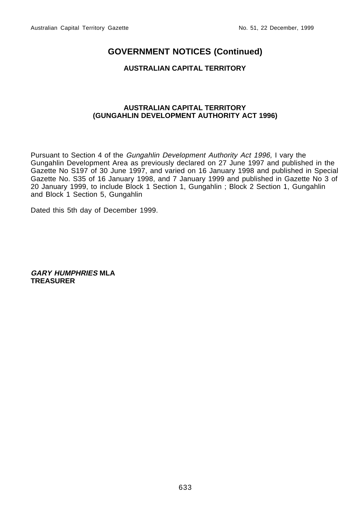## **AUSTRALIAN CAPITAL TERRITORY**

#### **AUSTRALIAN CAPITAL TERRITORY (GUNGAHLIN DEVELOPMENT AUTHORITY ACT 1996)**

Pursuant to Section 4 of the Gungahlin Development Authority Act 1996, I vary the Gungahlin Development Area as previously declared on 27 June 1997 and published in the Gazette No S197 of 30 June 1997, and varied on 16 January 1998 and published in Special Gazette No. S35 of 16 January 1998, and 7 January 1999 and published in Gazette No 3 of 20 January 1999, to include Block 1 Section 1, Gungahlin ; Block 2 Section 1, Gungahlin and Block 1 Section 5, Gungahlin

Dated this 5th day of December 1999.

**GARY HUMPHRIES MLA TREASURER**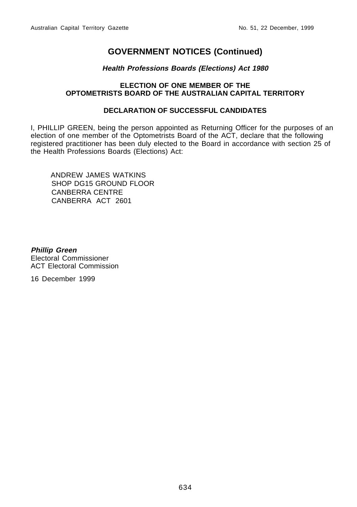## **Health Professions Boards (Elections) Act 1980**

## **ELECTION OF ONE MEMBER OF THE OPTOMETRISTS BOARD OF THE AUSTRALIAN CAPITAL TERRITORY**

## **DECLARATION OF SUCCESSFUL CANDIDATES**

I, PHILLIP GREEN, being the person appointed as Returning Officer for the purposes of an election of one member of the Optometrists Board of the ACT, declare that the following registered practitioner has been duly elected to the Board in accordance with section 25 of the Health Professions Boards (Elections) Act:

ANDREW JAMES WATKINS SHOP DG15 GROUND FLOOR CANBERRA CENTRE CANBERRA ACT 2601

**Phillip Green** Electoral Commissioner ACT Electoral Commission

16 December 1999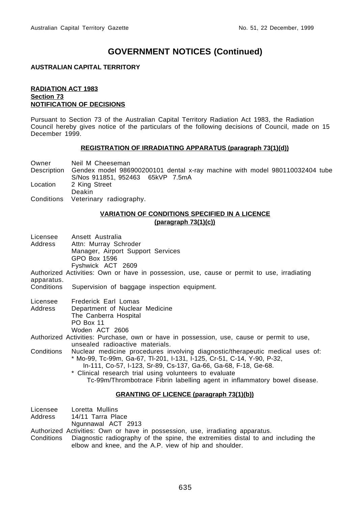#### **AUSTRALIAN CAPITAL TERRITORY**

#### **RADIATION ACT 1983 Section 73 NOTIFICATION OF DECISIONS**

Pursuant to Section 73 of the Australian Capital Territory Radiation Act 1983, the Radiation Council hereby gives notice of the particulars of the following decisions of Council, made on 15 December 1999.

#### **REGISTRATION OF IRRADIATING APPARATUS (paragraph 73(1)(d))**

| Owner    | Neil M Cheeseman                                                                        |
|----------|-----------------------------------------------------------------------------------------|
|          | Description Gendex model 986900200101 dental x-ray machine with model 980110032404 tube |
|          | S/Nos 911851, 952463 65kVP 7.5mA                                                        |
| Location | 2 King Street                                                                           |
|          | Deakin                                                                                  |
|          | Conditions Veterinary radiography.                                                      |

#### **VARIATION OF CONDITIONS SPECIFIED IN A LICENCE (paragraph 73(1)(c))**

Licensee Ansett Australia Address Attn: Murray Schroder Manager, Airport Support Services GPO Box 1596 Fyshwick ACT 2609 Authorized Activities: Own or have in possession, use, cause or permit to use, irradiating apparatus. Conditions Supervision of baggage inspection equipment. Licensee Frederick Earl Lomas Address Department of Nuclear Medicine The Canberra Hospital PO Box 11 Woden ACT 2606 Authorized Activities: Purchase, own or have in possession, use, cause or permit to use, unsealed radioactive materials. Conditions Nuclear medicine procedures involving diagnostic/therapeutic medical uses of: \* Mo-99, Tc-99m, Ga-67, Tl-201, I-131, I-125, Cr-51, C-14, Y-90, P-32, In-111, Co-57, I-123, Sr-89, Cs-137, Ga-66, Ga-68, F-18, Ge-68. \* Clinical research trial using volunteers to evaluate Tc-99m/Thrombotrace Fibrin labelling agent in inflammatory bowel disease.

# **GRANTING OF LICENCE (paragraph 73(1)(b))**

- Licensee Loretta Mullins
- Address 14/11 Tarra Place
- Ngunnawal ACT 2913
- Authorized Activities: Own or have in possession, use, irradiating apparatus.
- Conditions Diagnostic radiography of the spine, the extremities distal to and including the elbow and knee, and the A.P. view of hip and shoulder.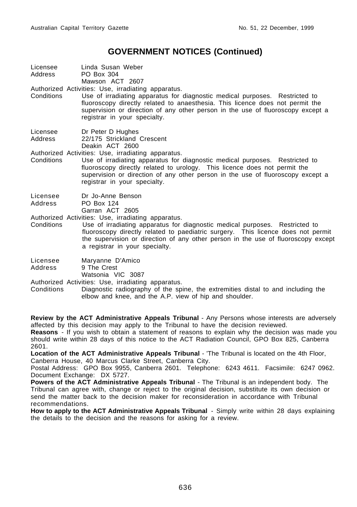Licensee Linda Susan Weber Address PO Box 304 Mawson ACT 2607

Authorized Activities: Use, irradiating apparatus.

- Conditions Use of irradiating apparatus for diagnostic medical purposes. Restricted to fluoroscopy directly related to anaesthesia. This licence does not permit the supervision or direction of any other person in the use of fluoroscopy except a registrar in your specialty.
- Licensee Dr Peter D Hughes Address 22/175 Strickland Crescent Deakin ACT 2600

Authorized Activities: Use, irradiating apparatus.

Conditions Use of irradiating apparatus for diagnostic medical purposes. Restricted to fluoroscopy directly related to urology. This licence does not permit the supervision or direction of any other person in the use of fluoroscopy except a registrar in your specialty.

Licensee Dr Jo-Anne Benson

Address PO Box 124

Garran ACT 2605

Authorized Activities: Use, irradiating apparatus.

Conditions Use of irradiating apparatus for diagnostic medical purposes. Restricted to fluoroscopy directly related to paediatric surgery. This licence does not permit the supervision or direction of any other person in the use of fluoroscopy except a registrar in your specialty.

Licensee Maryanne D'Amico

Address 9 The Crest

Watsonia VIC 3087

Authorized Activities: Use, irradiating apparatus.

Conditions Diagnostic radiography of the spine, the extremities distal to and including the elbow and knee, and the A.P. view of hip and shoulder.

**Review by the ACT Administrative Appeals Tribunal** - Any Persons whose interests are adversely affected by this decision may apply to the Tribunal to have the decision reviewed.

**Reasons** - If you wish to obtain a statement of reasons to explain why the decision was made you should write within 28 days of this notice to the ACT Radiation Council, GPO Box 825, Canberra 2601.

**Location of the ACT Administrative Appeals Tribunal** - 'The Tribunal is located on the 4th Floor, Canberra House, 40 Marcus Clarke Street, Canberra City.

Postal Address: GPO Box 9955, Canberra 2601. Telephone: 6243 4611. Facsimile: 6247 0962. Document Exchange: DX 5727.

**Powers of the ACT Administrative Appeals Tribunal** - The Tribunal is an independent body. The Tribunal can agree with, change or reject to the original decision, substitute its own decision or send the matter back to the decision maker for reconsideration in accordance with Tribunal recommendations.

**How to apply to the ACT Administrative Appeals Tribunal** - Simply write within 28 days explaining the details to the decision and the reasons for asking for a review.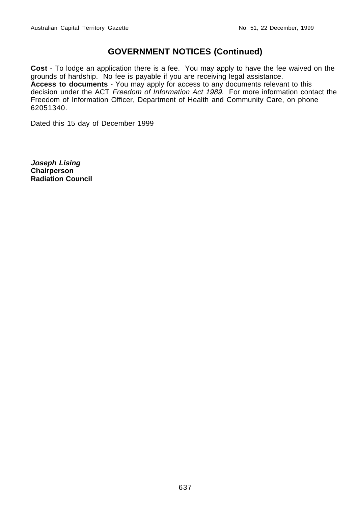**Cost** - To lodge an application there is a fee. You may apply to have the fee waived on the grounds of hardship. No fee is payable if you are receiving legal assistance. **Access to documents** - You may apply for access to any documents relevant to this decision under the ACT Freedom of Information Act 1989. For more information contact the Freedom of Information Officer, Department of Health and Community Care, on phone 62051340.

Dated this 15 day of December 1999

**Joseph Lising Chairperson Radiation Council**